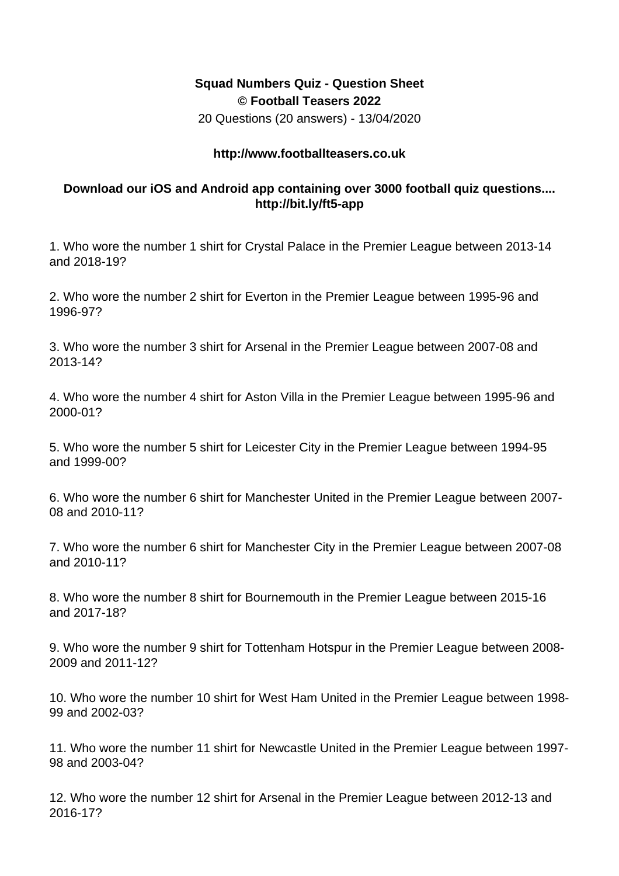## **Squad Numbers Quiz - Question Sheet © Football Teasers 2022**

20 Questions (20 answers) - 13/04/2020

## **http://www.footballteasers.co.uk**

## **Download our iOS and Android app containing over 3000 football quiz questions.... http://bit.ly/ft5-app**

1. Who wore the number 1 shirt for Crystal Palace in the Premier League between 2013-14 and 2018-19?

2. Who wore the number 2 shirt for Everton in the Premier League between 1995-96 and 1996-97?

3. Who wore the number 3 shirt for Arsenal in the Premier League between 2007-08 and 2013-14?

4. Who wore the number 4 shirt for Aston Villa in the Premier League between 1995-96 and 2000-01?

5. Who wore the number 5 shirt for Leicester City in the Premier League between 1994-95 and 1999-00?

6. Who wore the number 6 shirt for Manchester United in the Premier League between 2007- 08 and 2010-11?

7. Who wore the number 6 shirt for Manchester City in the Premier League between 2007-08 and 2010-11?

8. Who wore the number 8 shirt for Bournemouth in the Premier League between 2015-16 and 2017-18?

9. Who wore the number 9 shirt for Tottenham Hotspur in the Premier League between 2008- 2009 and 2011-12?

10. Who wore the number 10 shirt for West Ham United in the Premier League between 1998- 99 and 2002-03?

11. Who wore the number 11 shirt for Newcastle United in the Premier League between 1997- 98 and 2003-04?

12. Who wore the number 12 shirt for Arsenal in the Premier League between 2012-13 and 2016-17?